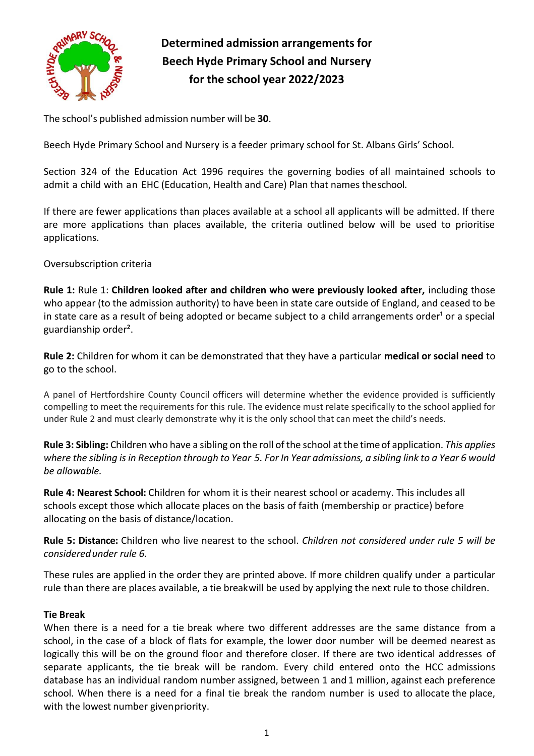

# **Determined admission arrangements for Beech Hyde Primary School and Nursery for the school year 2022/2023**

The school's published admission number will be **30**.

Beech Hyde Primary School and Nursery is a feeder primary school for St. Albans Girls' School.

Section 324 of the Education Act 1996 requires the governing bodies of all maintained schools to admit a child with an EHC (Education, Health and Care) Plan that names theschool.

If there are fewer applications than places available at a school all applicants will be admitted. If there are more applications than places available, the criteria outlined below will be used to prioritise applications.

Oversubscription criteria

**Rule 1:** Rule 1: **Children looked after and children who were previously looked after,** including those who appear (to the admission authority) to have been in state care outside of England, and ceased to be in state care as a result of being adopted or became subject to a child arrangements order<sup>1</sup> or a special guardianship order².

**Rule 2:** Children for whom it can be demonstrated that they have a particular **medical or social need** to go to the school.

A panel of Hertfordshire County Council officers will determine whether the evidence provided is sufficiently compelling to meet the requirements for this rule. The evidence must relate specifically to the school applied for under Rule 2 and must clearly demonstrate why it is the only school that can meet the child's needs.

**Rule 3: Sibling:** Children who have a sibling on the roll of the school at the timeof application. *This applies where the sibling is in Reception through to Year 5. For In Year admissions, a sibling link to a Year 6 would be allowable.*

**Rule 4: Nearest School:** Children for whom it is their nearest school or academy. This includes all schools except those which allocate places on the basis of faith (membership or practice) before allocating on the basis of distance/location.

**Rule 5: Distance:** Children who live nearest to the school. *Children not considered under rule 5 will be consideredunder rule 6.*

These rules are applied in the order they are printed above. If more children qualify under a particular rule than there are places available, a tie breakwill be used by applying the next rule to those children.

# **Tie Break**

When there is a need for a tie break where two different addresses are the same distance from a school, in the case of a block of flats for example, the lower door number will be deemed nearest as logically this will be on the ground floor and therefore closer. If there are two identical addresses of separate applicants, the tie break will be random. Every child entered onto the HCC admissions database has an individual random number assigned, between 1 and 1 million, against each preference school. When there is a need for a final tie break the random number is used to allocate the place, with the lowest number givenpriority.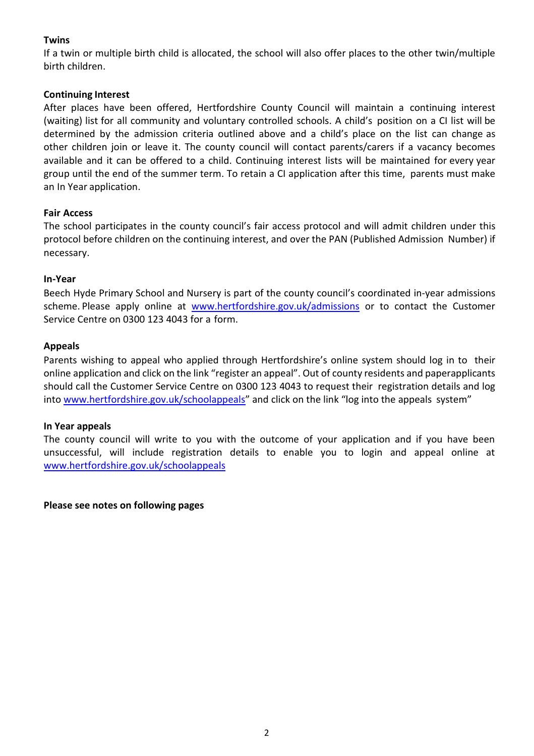# **Twins**

If a twin or multiple birth child is allocated, the school will also offer places to the other twin/multiple birth children.

#### **Continuing Interest**

After places have been offered, Hertfordshire County Council will maintain a continuing interest (waiting) list for all community and voluntary controlled schools. A child's position on a CI list will be determined by the admission criteria outlined above and a child's place on the list can change as other children join or leave it. The county council will contact parents/carers if a vacancy becomes available and it can be offered to a child. Continuing interest lists will be maintained for every year group until the end of the summer term. To retain a CI application after this time, parents must make an In Year application.

### **Fair Access**

The school participates in the county council's fair access protocol and will admit children under this protocol before children on the continuing interest, and over the PAN (Published Admission Number) if necessary.

### **In-Year**

Beech Hyde Primary School and Nursery is part of the county council's coordinated in-year admissions scheme. Please apply online at [www.hertfordshire.gov.uk/admissions](http://www.hertfordshire.gov.uk/admissions) or to contact the Customer Service Centre on 0300 123 4043 for a form.

### **Appeals**

Parents wishing to appeal who applied through Hertfordshire's online system should log in to their online application and click on the link "register an appeal". Out of county residents and paperapplicants should call the Customer Service Centre on 0300 123 4043 to request their registration details and log into [www.hertfordshire.gov.uk/schoolappeals](http://www.hertfordshire.gov.uk/schoolappeals)" and click on the link "log into the appeals system"

#### **In Year appeals**

The county council will write to you with the outcome of your application and if you have been unsuccessful, will include registration details to enable you to login and appeal online at [www.hertfordshire.gov.uk/schoolappeals](http://www.hertfordshire.gov.uk/schoolappeals)

**Please see notes on following pages**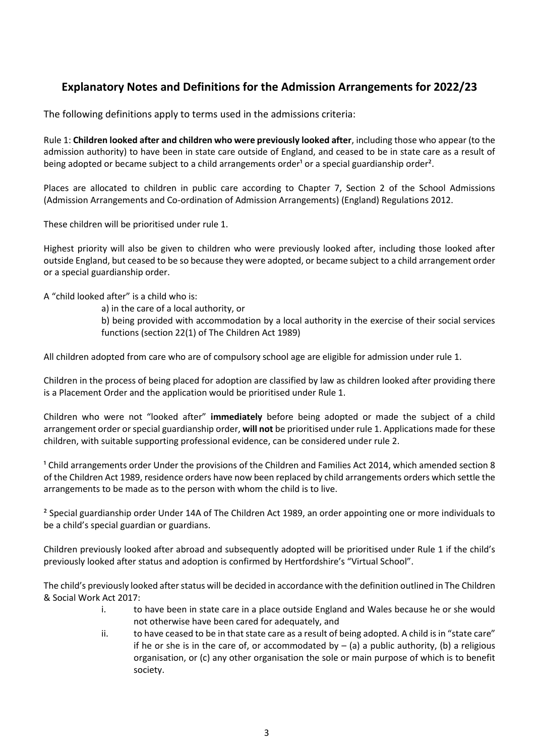# **Explanatory Notes and Definitions for the Admission Arrangements for 2022/23**

The following definitions apply to terms used in the admissions criteria:

Rule 1: **Children looked after and children who were previously looked after**, including those who appear (to the admission authority) to have been in state care outside of England, and ceased to be in state care as a result of being adopted or became subject to a child arrangements order<sup>1</sup> or a special guardianship order<sup>2</sup>.

Places are allocated to children in public care according to Chapter 7, Section 2 of the School Admissions (Admission Arrangements and Co-ordination of Admission Arrangements) (England) Regulations 2012.

These children will be prioritised under rule 1.

Highest priority will also be given to children who were previously looked after, including those looked after outside England, but ceased to be so because they were adopted, or became subject to a child arrangement order or a special guardianship order.

A "child looked after" is a child who is:

a) in the care of a local authority, or

b) being provided with accommodation by a local authority in the exercise of their social services functions (section 22(1) of The Children Act 1989)

All children adopted from care who are of compulsory school age are eligible for admission under rule 1.

Children in the process of being placed for adoption are classified by law as children looked after providing there is a Placement Order and the application would be prioritised under Rule 1.

Children who were not "looked after" **immediately** before being adopted or made the subject of a child arrangement order or special guardianship order, **will not** be prioritised under rule 1. Applications made for these children, with suitable supporting professional evidence, can be considered under rule 2.

<sup>1</sup> Child arrangements order Under the provisions of the Children and Families Act 2014, which amended section 8 of the Children Act 1989, residence orders have now been replaced by child arrangements orders which settle the arrangements to be made as to the person with whom the child is to live.

² Special guardianship order Under 14A of The Children Act 1989, an order appointing one or more individuals to be a child's special guardian or guardians.

Children previously looked after abroad and subsequently adopted will be prioritised under Rule 1 if the child's previously looked after status and adoption is confirmed by Hertfordshire's "Virtual School".

The child's previously looked after status will be decided in accordance with the definition outlined in The Children & Social Work Act 2017:

- i. to have been in state care in a place outside England and Wales because he or she would not otherwise have been cared for adequately, and
- ii. to have ceased to be in that state care as a result of being adopted. A child is in "state care" if he or she is in the care of, or accommodated by  $-$  (a) a public authority, (b) a religious organisation, or (c) any other organisation the sole or main purpose of which is to benefit society.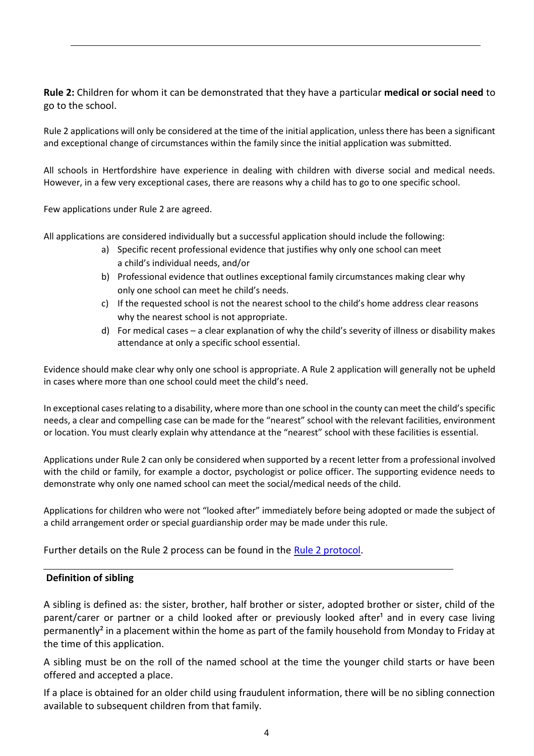**Rule 2:** Children for whom it can be demonstrated that they have a particular **medical or social need** to go to the school.

Rule 2 applications will only be considered at the time of the initial application, unless there has been a significant and exceptional change of circumstances within the family since the initial application was submitted.

All schools in Hertfordshire have experience in dealing with children with diverse social and medical needs. However, in a few very exceptional cases, there are reasons why a child has to go to one specific school.

Few applications under Rule 2 are agreed.

All applications are considered individually but a successful application should include the following:

- a) Specific recent professional evidence that justifies why only one school can meet a child's individual needs, and/or
- b) Professional evidence that outlines exceptional family circumstances making clear why only one school can meet he child's needs.
- c) If the requested school is not the nearest school to the child's home address clear reasons why the nearest school is not appropriate.
- d) For medical cases a clear explanation of why the child's severity of illness or disability makes attendance at only a specific school essential.

Evidence should make clear why only one school is appropriate. A Rule 2 application will generally not be upheld in cases where more than one school could meet the child's need.

In exceptional cases relating to a disability, where more than one school in the county can meet the child's specific needs, a clear and compelling case can be made for the "nearest" school with the relevant facilities, environment or location. You must clearly explain why attendance at the "nearest" school with these facilities is essential.

Applications under Rule 2 can only be considered when supported by a recent letter from a professional involved with the child or family, for example a doctor, psychologist or police officer. The supporting evidence needs to demonstrate why only one named school can meet the social/medical needs of the child.

Applications for children who were not "looked after" immediately before being adopted or made the subject of a child arrangement order or special guardianship order may be made under this rule.

Further details on the Rule 2 process can be found in the [Rule 2 protocol.](https://www.hertfordshire.gov.uk/media-library/documents/schools-and-education/admissions/rule-2-protocol-2018.pdf)

#### **Definition of sibling**

A sibling is defined as: the sister, brother, half brother or sister, adopted brother or sister, child of the parent/carer or partner or a child looked after or previously looked after<sup>1</sup> and in every case living permanently<sup>2</sup> in a placement within the home as part of the family household from Monday to Friday at the time of this application.

A sibling must be on the roll of the named school at the time the younger child starts or have been offered and accepted a place.

If a place is obtained for an older child using fraudulent information, there will be no sibling connection available to subsequent children from that family.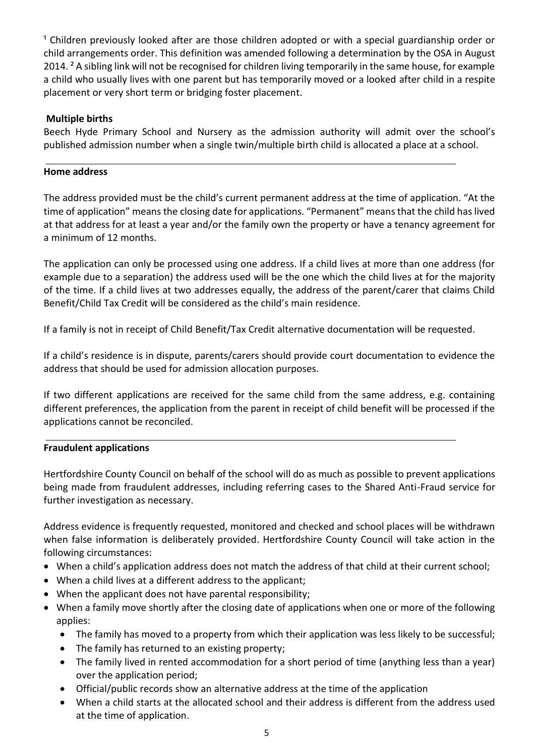<sup>1</sup> Children previously looked after are those children adopted or with a special guardianship order or child arrangements order. This definition was amended following a determination by the OSA in August 2014. ² A sibling link will not be recognised for children living temporarily in the same house, for example a child who usually lives with one parent but has temporarily moved or a looked after child in a respite placement or very short term or bridging foster placement.

# **Multiple births**

Beech Hyde Primary School and Nursery as the admission authority will admit over the school's published admission number when a single twin/multiple birth child is allocated a place at a school.

# **Home address**

The address provided must be the child's current permanent address at the time of application. "At the time of application" means the closing date for applications. "Permanent" means that the child has lived at that address for at least a year and/or the family own the property or have a tenancy agreement for a minimum of 12 months.

The application can only be processed using one address. If a child lives at more than one address (for example due to a separation) the address used will be the one which the child lives at for the majority of the time. If a child lives at two addresses equally, the address of the parent/carer that claims Child Benefit/Child Tax Credit will be considered as the child's main residence.

If a family is not in receipt of Child Benefit/Tax Credit alternative documentation will be requested.

If a child's residence is in dispute, parents/carers should provide court documentation to evidence the address that should be used for admission allocation purposes.

If two different applications are received for the same child from the same address, e.g. containing different preferences, the application from the parent in receipt of child benefit will be processed if the applications cannot be reconciled.

# **Fraudulent applications**

Hertfordshire County Council on behalf of the school will do as much as possible to prevent applications being made from fraudulent addresses, including referring cases to the Shared Anti-Fraud service for further investigation as necessary.

Address evidence is frequently requested, monitored and checked and school places will be withdrawn when false information is deliberately provided. Hertfordshire County Council will take action in the following circumstances:

- When a child's application address does not match the address of that child at their current school;
- When a child lives at a different address to the applicant;
- When the applicant does not have parental responsibility;
- When a family move shortly after the closing date of applications when one or more of the following applies:
	- The family has moved to a property from which their application was less likely to be successful;
	- The family has returned to an existing property;
	- The family lived in rented accommodation for a short period of time (anything less than a year) over the application period;
	- Official/public records show an alternative address at the time of the application
	- When a child starts at the allocated school and their address is different from the address used at the time of application.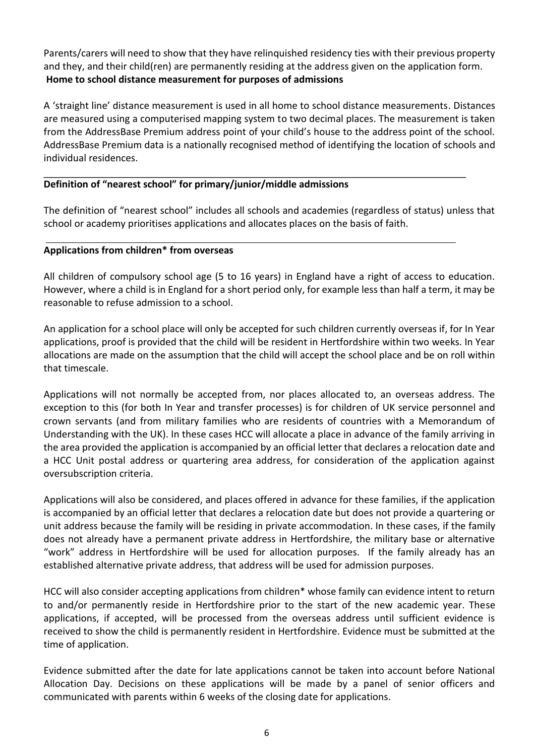Parents/carers will need to show that they have relinquished residency ties with their previous property and they, and their child(ren) are permanently residing at the address given on the application form. **Home to school distance measurement for purposes of admissions** 

A 'straight line' distance measurement is used in all home to school distance measurements. Distances are measured using a computerised mapping system to two decimal places. The measurement is taken from the AddressBase Premium address point of your child's house to the address point of the school. AddressBase Premium data is a nationally recognised method of identifying the location of schools and individual residences.

### **Definition of "nearest school" for primary/junior/middle admissions**

The definition of "nearest school" includes all schools and academies (regardless of status) unless that school or academy prioritises applications and allocates places on the basis of faith.

### **Applications from children\* from overseas**

All children of compulsory school age (5 to 16 years) in England have a right of access to education. However, where a child is in England for a short period only, for example less than half a term, it may be reasonable to refuse admission to a school.

An application for a school place will only be accepted for such children currently overseas if, for In Year applications, proof is provided that the child will be resident in Hertfordshire within two weeks. In Year allocations are made on the assumption that the child will accept the school place and be on roll within that timescale.

Applications will not normally be accepted from, nor places allocated to, an overseas address. The exception to this (for both In Year and transfer processes) is for children of UK service personnel and crown servants (and from military families who are residents of countries with a Memorandum of Understanding with the UK). In these cases HCC will allocate a place in advance of the family arriving in the area provided the application is accompanied by an official letter that declares a relocation date and a HCC Unit postal address or quartering area address, for consideration of the application against oversubscription criteria.

Applications will also be considered, and places offered in advance for these families, if the application is accompanied by an official letter that declares a relocation date but does not provide a quartering or unit address because the family will be residing in private accommodation. In these cases, if the family does not already have a permanent private address in Hertfordshire, the military base or alternative "work" address in Hertfordshire will be used for allocation purposes. If the family already has an established alternative private address, that address will be used for admission purposes.

HCC will also consider accepting applications from children\* whose family can evidence intent to return to and/or permanently reside in Hertfordshire prior to the start of the new academic year. These applications, if accepted, will be processed from the overseas address until sufficient evidence is received to show the child is permanently resident in Hertfordshire. Evidence must be submitted at the time of application.

Evidence submitted after the date for late applications cannot be taken into account before National Allocation Day. Decisions on these applications will be made by a panel of senior officers and communicated with parents within 6 weeks of the closing date for applications.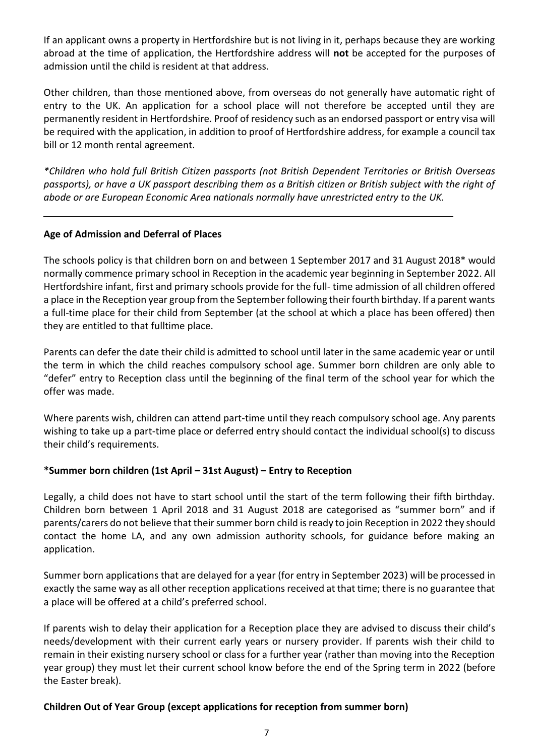If an applicant owns a property in Hertfordshire but is not living in it, perhaps because they are working abroad at the time of application, the Hertfordshire address will **not** be accepted for the purposes of admission until the child is resident at that address.

Other children, than those mentioned above, from overseas do not generally have automatic right of entry to the UK. An application for a school place will not therefore be accepted until they are permanently resident in Hertfordshire. Proof of residency such as an endorsed passport or entry visa will be required with the application, in addition to proof of Hertfordshire address, for example a council tax bill or 12 month rental agreement.

*\*Children who hold full British Citizen passports (not British Dependent Territories or British Overseas passports), or have a UK passport describing them as a British citizen or British subject with the right of abode or are European Economic Area nationals normally have unrestricted entry to the UK.* 

# **Age of Admission and Deferral of Places**

The schools policy is that children born on and between 1 September 2017 and 31 August 2018\* would normally commence primary school in Reception in the academic year beginning in September 2022. All Hertfordshire infant, first and primary schools provide for the full- time admission of all children offered a place in the Reception year group from the September following their fourth birthday. If a parent wants a full-time place for their child from September (at the school at which a place has been offered) then they are entitled to that fulltime place.

Parents can defer the date their child is admitted to school until later in the same academic year or until the term in which the child reaches compulsory school age. Summer born children are only able to "defer" entry to Reception class until the beginning of the final term of the school year for which the offer was made.

Where parents wish, children can attend part-time until they reach compulsory school age. Any parents wishing to take up a part-time place or deferred entry should contact the individual school(s) to discuss their child's requirements.

# **\*Summer born children (1st April – 31st August) – Entry to Reception**

Legally, a child does not have to start school until the start of the term following their fifth birthday. Children born between 1 April 2018 and 31 August 2018 are categorised as "summer born" and if parents/carers do not believe that their summer born child is ready to join Reception in 2022 they should contact the home LA, and any own admission authority schools, for guidance before making an application.

Summer born applications that are delayed for a year (for entry in September 2023) will be processed in exactly the same way as all other reception applications received at that time; there is no guarantee that a place will be offered at a child's preferred school.

If parents wish to delay their application for a Reception place they are advised to discuss their child's needs/development with their current early years or nursery provider. If parents wish their child to remain in their existing nursery school or class for a further year (rather than moving into the Reception year group) they must let their current school know before the end of the Spring term in 2022 (before the Easter break).

# **Children Out of Year Group (except applications for reception from summer born)**